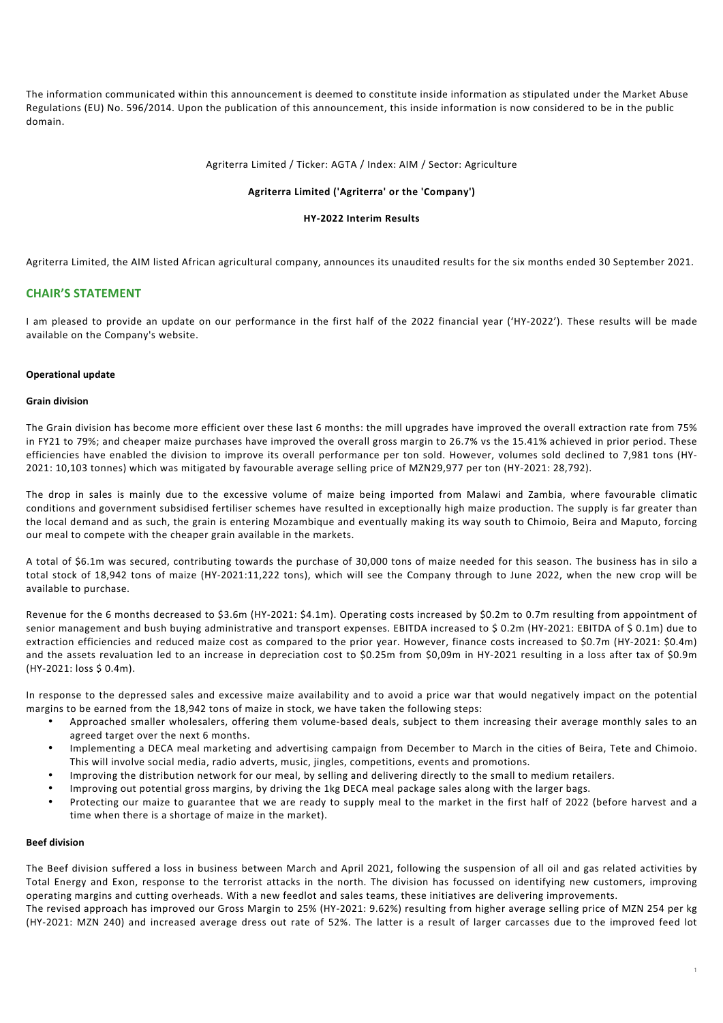The information communicated within this announcement is deemed to constitute inside information as stipulated under the Market Abuse Regulations (EU) No. 596/2014. Upon the publication of this announcement, this inside information is now considered to be in the public domain.

### Agriterra Limited / Ticker: AGTA / Index: AIM / Sector: Agriculture

### **Agriterra Limited ('Agriterra' or the 'Company')**

### **HY-2022 Interim Results**

Agriterra Limited, the AIM listed African agricultural company, announces its unaudited results for the six months ended 30 September 2021.

## **CHAIR'S STATEMENT**

I am pleased to provide an update on our performance in the first half of the 2022 financial year ('HY-2022'). These results will be made available on the Company's website.

### **Operational update**

### **Grain division**

The Grain division has become more efficient over these last 6 months: the mill upgrades have improved the overall extraction rate from 75% in FY21 to 79%; and cheaper maize purchases have improved the overall gross margin to 26.7% vs the 15.41% achieved in prior period. These efficiencies have enabled the division to improve its overall performance per ton sold. However, volumes sold declined to 7,981 tons (HY-2021: 10,103 tonnes) which was mitigated by favourable average selling price of MZN29,977 per ton (HY-2021: 28,792).

The drop in sales is mainly due to the excessive volume of maize being imported from Malawi and Zambia, where favourable climatic conditions and government subsidised fertiliser schemes have resulted in exceptionally high maize production. The supply is far greater than the local demand and as such, the grain is entering Mozambique and eventually making its way south to Chimoio, Beira and Maputo, forcing our meal to compete with the cheaper grain available in the markets.

A total of \$6.1m was secured, contributing towards the purchase of 30,000 tons of maize needed for this season. The business has in silo a total stock of 18,942 tons of maize (HY-2021:11,222 tons), which will see the Company through to June 2022, when the new crop will be available to purchase.

Revenue for the 6 months decreased to \$3.6m (HY-2021: \$4.1m). Operating costs increased by \$0.2m to 0.7m resulting from appointment of senior management and bush buying administrative and transport expenses. EBITDA increased to \$ 0.2m (HY-2021: EBITDA of \$ 0.1m) due to extraction efficiencies and reduced maize cost as compared to the prior year. However, finance costs increased to \$0.7m (HY-2021: \$0.4m) and the assets revaluation led to an increase in depreciation cost to \$0.25m from \$0,09m in HY-2021 resulting in a loss after tax of \$0.9m (HY-2021: loss \$ 0.4m).

In response to the depressed sales and excessive maize availability and to avoid a price war that would negatively impact on the potential margins to be earned from the 18,942 tons of maize in stock, we have taken the following steps:

- Approached smaller wholesalers, offering them volume-based deals, subject to them increasing their average monthly sales to an agreed target over the next 6 months.
- Implementing a DECA meal marketing and advertising campaign from December to March in the cities of Beira, Tete and Chimoio. This will involve social media, radio adverts, music, jingles, competitions, events and promotions.
- Improving the distribution network for our meal, by selling and delivering directly to the small to medium retailers.
- Improving out potential gross margins, by driving the 1kg DECA meal package sales along with the larger bags.
- Protecting our maize to guarantee that we are ready to supply meal to the market in the first half of 2022 (before harvest and a time when there is a shortage of maize in the market).

### **Beef division**

The Beef division suffered a loss in business between March and April 2021, following the suspension of all oil and gas related activities by Total Energy and Exon, response to the terrorist attacks in the north. The division has focussed on identifying new customers, improving operating margins and cutting overheads. With a new feedlot and sales teams, these initiatives are delivering improvements. The revised approach has improved our Gross Margin to 25% (HY-2021: 9.62%) resulting from higher average selling price of MZN 254 per kg

(HY-2021: MZN 240) and increased average dress out rate of 52%. The latter is a result of larger carcasses due to the improved feed lot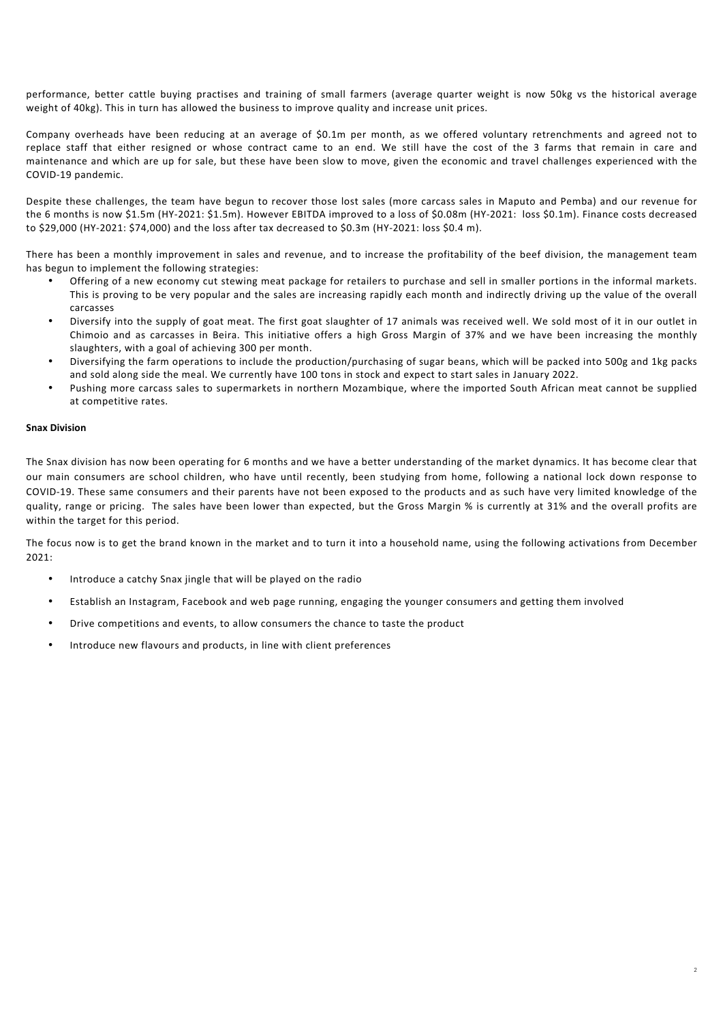performance, better cattle buying practises and training of small farmers (average quarter weight is now 50kg vs the historical average weight of 40kg). This in turn has allowed the business to improve quality and increase unit prices.

Company overheads have been reducing at an average of \$0.1m per month, as we offered voluntary retrenchments and agreed not to replace staff that either resigned or whose contract came to an end. We still have the cost of the 3 farms that remain in care and maintenance and which are up for sale, but these have been slow to move, given the economic and travel challenges experienced with the COVID-19 pandemic.

Despite these challenges, the team have begun to recover those lost sales (more carcass sales in Maputo and Pemba) and our revenue for the 6 months is now \$1.5m (HY-2021: \$1.5m). However EBITDA improved to a loss of \$0.08m (HY-2021: loss \$0.1m). Finance costs decreased to \$29,000 (HY-2021: \$74,000) and the loss after tax decreased to \$0.3m (HY-2021: loss \$0.4 m).

There has been a monthly improvement in sales and revenue, and to increase the profitability of the beef division, the management team has begun to implement the following strategies:

- Offering of a new economy cut stewing meat package for retailers to purchase and sell in smaller portions in the informal markets. This is proving to be very popular and the sales are increasing rapidly each month and indirectly driving up the value of the overall carcasses
- Diversify into the supply of goat meat. The first goat slaughter of 17 animals was received well. We sold most of it in our outlet in Chimoio and as carcasses in Beira. This initiative offers a high Gross Margin of 37% and we have been increasing the monthly slaughters, with a goal of achieving 300 per month.
- Diversifying the farm operations to include the production/purchasing of sugar beans, which will be packed into 500g and 1kg packs and sold along side the meal. We currently have 100 tons in stock and expect to start sales in January 2022.
- Pushing more carcass sales to supermarkets in northern Mozambique, where the imported South African meat cannot be supplied at competitive rates.

## **Snax Division**

The Snax division has now been operating for 6 months and we have a better understanding of the market dynamics. It has become clear that our main consumers are school children, who have until recently, been studying from home, following a national lock down response to COVID-19. These same consumers and their parents have not been exposed to the products and as such have very limited knowledge of the quality, range or pricing. The sales have been lower than expected, but the Gross Margin % is currently at 31% and the overall profits are within the target for this period.

The focus now is to get the brand known in the market and to turn it into a household name, using the following activations from December 2021:

- Introduce a catchy Snax jingle that will be played on the radio
- Establish an Instagram, Facebook and web page running, engaging the younger consumers and getting them involved
- Drive competitions and events, to allow consumers the chance to taste the product
- Introduce new flavours and products, in line with client preferences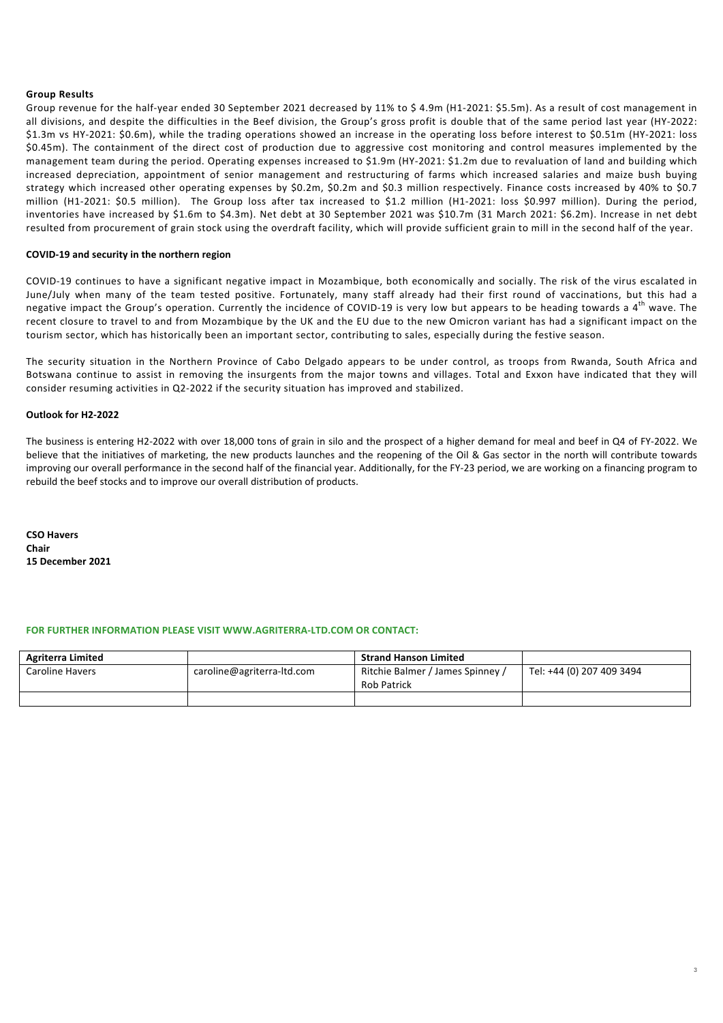### **Group Results**

Group revenue for the half-year ended 30 September 2021 decreased by 11% to \$ 4.9m (H1-2021: \$5.5m). As a result of cost management in all divisions, and despite the difficulties in the Beef division, the Group's gross profit is double that of the same period last year (HY-2022: \$1.3m vs HY-2021: \$0.6m), while the trading operations showed an increase in the operating loss before interest to \$0.51m (HY-2021: loss \$0.45m). The containment of the direct cost of production due to aggressive cost monitoring and control measures implemented by the management team during the period. Operating expenses increased to \$1.9m (HY-2021: \$1.2m due to revaluation of land and building which increased depreciation, appointment of senior management and restructuring of farms which increased salaries and maize bush buying strategy which increased other operating expenses by \$0.2m, \$0.2m and \$0.3 million respectively. Finance costs increased by 40% to \$0.7 million (H1-2021: \$0.5 million). The Group loss after tax increased to \$1.2 million (H1-2021: loss \$0.997 million). During the period, inventories have increased by \$1.6m to \$4.3m). Net debt at 30 September 2021 was \$10.7m (31 March 2021: \$6.2m). Increase in net debt resulted from procurement of grain stock using the overdraft facility, which will provide sufficient grain to mill in the second half of the year.

### **COVID-19 and security in the northern region**

COVID-19 continues to have a significant negative impact in Mozambique, both economically and socially. The risk of the virus escalated in June/July when many of the team tested positive. Fortunately, many staff already had their first round of vaccinations, but this had a negative impact the Group's operation. Currently the incidence of COVID-19 is very low but appears to be heading towards a 4<sup>th</sup> wave. The recent closure to travel to and from Mozambique by the UK and the EU due to the new Omicron variant has had a significant impact on the tourism sector, which has historically been an important sector, contributing to sales, especially during the festive season.

The security situation in the Northern Province of Cabo Delgado appears to be under control, as troops from Rwanda, South Africa and Botswana continue to assist in removing the insurgents from the major towns and villages. Total and Exxon have indicated that they will consider resuming activities in Q2-2022 if the security situation has improved and stabilized.

### **Outlook for H2-2022**

The business is entering H2-2022 with over 18,000 tons of grain in silo and the prospect of a higher demand for meal and beef in Q4 of FY-2022. We believe that the initiatives of marketing, the new products launches and the reopening of the Oil & Gas sector in the north will contribute towards improving our overall performance in the second half of the financial year. Additionally, for the FY-23 period, we are working on a financing program to rebuild the beef stocks and to improve our overall distribution of products.

**CSO Havers Chair 15 December 2021**

### **FOR FURTHER INFORMATION PLEASE VISIT WWW.AGRITERRA-LTD.COM OR CONTACT:**

| <b>Agriterra Limited</b> |                            | <b>Strand Hanson Limited</b>                           |                           |
|--------------------------|----------------------------|--------------------------------------------------------|---------------------------|
| <b>Caroline Havers</b>   | caroline@agriterra-ltd.com | Ritchie Balmer / James Spinney /<br><b>Rob Patrick</b> | Tel: +44 (0) 207 409 3494 |
|                          |                            |                                                        |                           |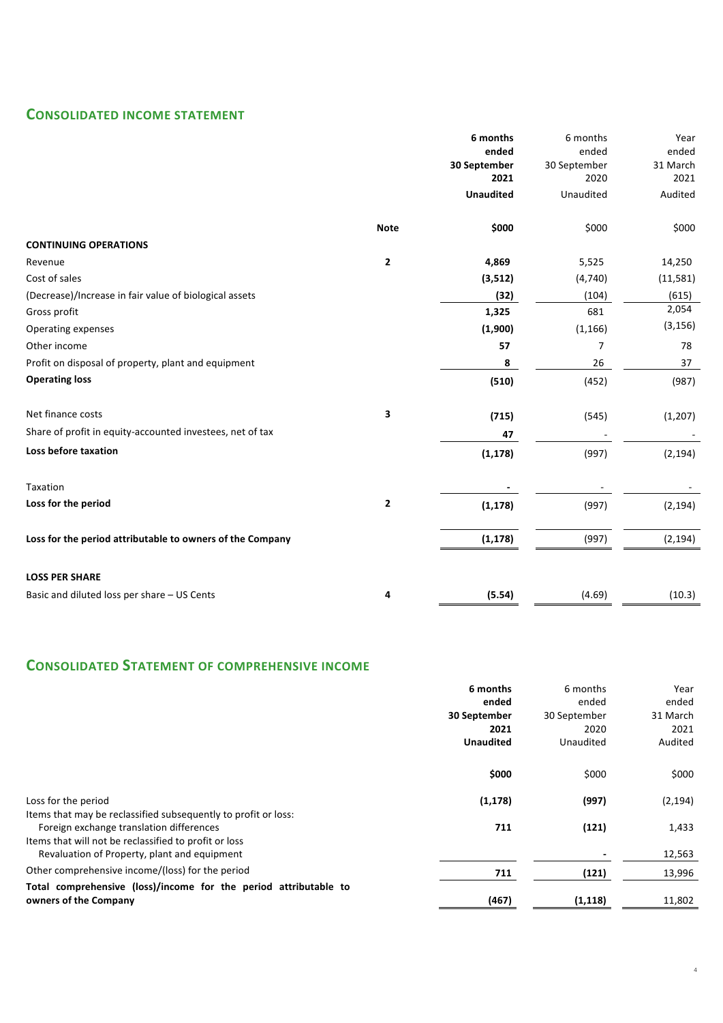# **CONSOLIDATED INCOME STATEMENT**

|                                                           |                | 6 months         | 6 months       | Year     |
|-----------------------------------------------------------|----------------|------------------|----------------|----------|
|                                                           |                | ended            | ended          | ended    |
|                                                           |                | 30 September     | 30 September   | 31 March |
|                                                           |                | 2021             | 2020           | 2021     |
|                                                           |                | <b>Unaudited</b> | Unaudited      | Audited  |
|                                                           | <b>Note</b>    | \$000            | \$000          | \$000    |
| <b>CONTINUING OPERATIONS</b>                              |                |                  |                |          |
| Revenue                                                   | 2              | 4,869            | 5,525          | 14,250   |
| Cost of sales                                             |                | (3,512)          | (4,740)        | (11,581) |
| (Decrease)/Increase in fair value of biological assets    |                | (32)             | (104)          | (615)    |
| Gross profit                                              |                | 1,325            | 681            | 2,054    |
| Operating expenses                                        |                | (1,900)          | (1, 166)       | (3, 156) |
| Other income                                              |                | 57               | $\overline{7}$ | 78       |
| Profit on disposal of property, plant and equipment       |                | 8                | 26             | 37       |
| <b>Operating loss</b>                                     |                | (510)            | (452)          | (987)    |
| Net finance costs                                         | 3              | (715)            | (545)          | (1, 207) |
| Share of profit in equity-accounted investees, net of tax |                | 47               |                |          |
| Loss before taxation                                      |                | (1, 178)         | (997)          | (2, 194) |
| Taxation                                                  |                |                  |                |          |
| Loss for the period                                       | $\overline{2}$ | (1, 178)         | (997)          | (2, 194) |
| Loss for the period attributable to owners of the Company |                | (1, 178)         | (997)          | (2, 194) |
|                                                           |                |                  |                |          |
| <b>LOSS PER SHARE</b>                                     |                |                  |                |          |
| Basic and diluted loss per share - US Cents               | 4              | (5.54)           | (4.69)         | (10.3)   |

# **CONSOLIDATED STATEMENT OF COMPREHENSIVE INCOME**

|                                                                                                            | 6 months         | 6 months     | Year     |
|------------------------------------------------------------------------------------------------------------|------------------|--------------|----------|
|                                                                                                            | ended            | ended        | ended    |
|                                                                                                            | 30 September     | 30 September | 31 March |
|                                                                                                            | 2021             | 2020         | 2021     |
|                                                                                                            | <b>Unaudited</b> | Unaudited    | Audited  |
|                                                                                                            | \$000            | \$000        | \$000    |
| Loss for the period                                                                                        | (1, 178)         | (997)        | (2, 194) |
| Items that may be reclassified subsequently to profit or loss:<br>Foreign exchange translation differences | 711              | (121)        | 1,433    |
| Items that will not be reclassified to profit or loss                                                      |                  |              |          |
| Revaluation of Property, plant and equipment                                                               |                  |              | 12,563   |
| Other comprehensive income/(loss) for the period                                                           | 711              | (121)        | 13,996   |
| Total comprehensive (loss)/income for the period attributable to                                           |                  |              |          |
| owners of the Company                                                                                      | (467)            | (1, 118)     | 11,802   |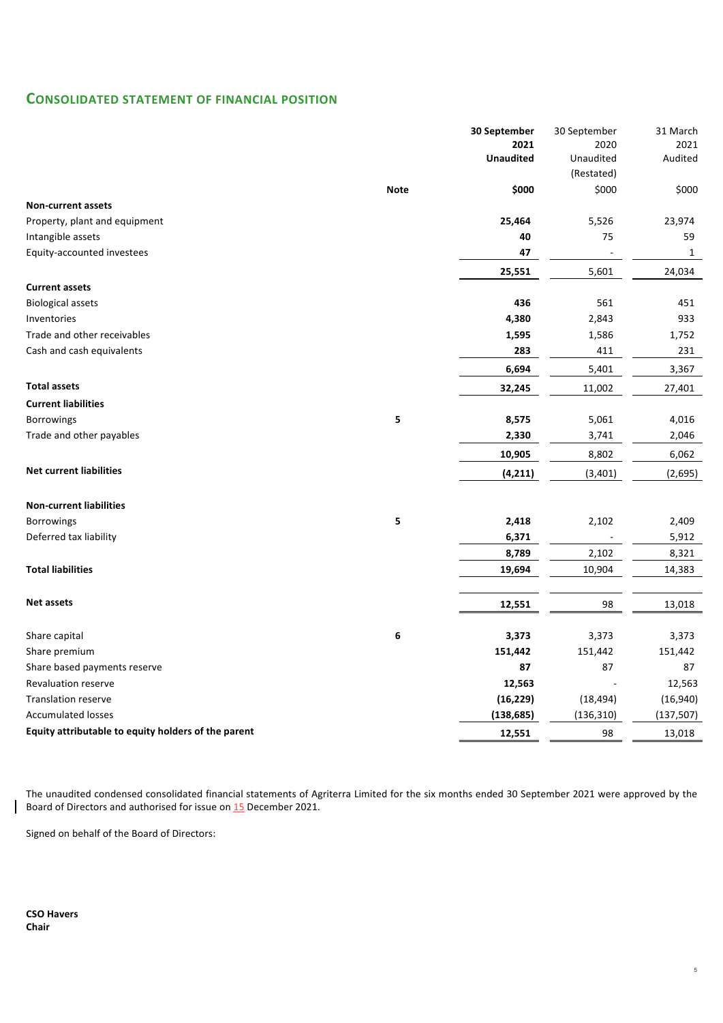# **CONSOLIDATED STATEMENT OF FINANCIAL POSITION**

|                                                     |             | 30 September             | 30 September      | 31 March        |
|-----------------------------------------------------|-------------|--------------------------|-------------------|-----------------|
|                                                     |             | 2021<br><b>Unaudited</b> | 2020<br>Unaudited | 2021<br>Audited |
|                                                     |             |                          | (Restated)        |                 |
|                                                     | <b>Note</b> | \$000                    | \$000             | \$000           |
| <b>Non-current assets</b>                           |             |                          |                   |                 |
| Property, plant and equipment                       |             | 25,464                   | 5,526             | 23,974          |
| Intangible assets                                   |             | 40                       | 75                | 59              |
| Equity-accounted investees                          |             | 47                       |                   | $\mathbf{1}$    |
|                                                     |             | 25,551                   | 5,601             | 24,034          |
| <b>Current assets</b>                               |             |                          |                   |                 |
| <b>Biological assets</b>                            |             | 436                      | 561               | 451             |
| Inventories                                         |             | 4,380                    | 2,843             | 933             |
| Trade and other receivables                         |             | 1,595                    | 1,586             | 1,752           |
| Cash and cash equivalents                           |             | 283                      | 411               | 231             |
|                                                     |             | 6,694                    | 5,401             | 3,367           |
| <b>Total assets</b>                                 |             | 32,245                   | 11,002            | 27,401          |
| <b>Current liabilities</b>                          |             |                          |                   |                 |
| <b>Borrowings</b>                                   | 5           | 8,575                    | 5,061             | 4,016           |
| Trade and other payables                            |             | 2,330                    | 3,741             | 2,046           |
|                                                     |             | 10,905                   | 8,802             | 6,062           |
| <b>Net current liabilities</b>                      |             | (4, 211)                 | (3, 401)          | (2,695)         |
|                                                     |             |                          |                   |                 |
| <b>Non-current liabilities</b>                      |             |                          |                   |                 |
| <b>Borrowings</b>                                   | 5           | 2,418                    | 2,102             | 2,409           |
| Deferred tax liability                              |             | 6,371                    |                   | 5,912           |
|                                                     |             | 8,789                    | 2,102             | 8,321           |
| <b>Total liabilities</b>                            |             | 19,694                   | 10,904            | 14,383          |
| <b>Net assets</b>                                   |             | 12,551                   | 98                | 13,018          |
|                                                     |             |                          |                   |                 |
| Share capital                                       | 6           | 3,373                    | 3,373             | 3,373           |
| Share premium                                       |             | 151,442                  | 151,442           | 151,442         |
| Share based payments reserve                        |             | 87                       | 87                | 87              |
| <b>Revaluation reserve</b>                          |             | 12,563                   |                   | 12,563          |
| <b>Translation reserve</b>                          |             | (16, 229)                | (18, 494)         | (16, 940)       |
| <b>Accumulated losses</b>                           |             | (138, 685)               | (136, 310)        | (137, 507)      |
| Equity attributable to equity holders of the parent |             | 12,551                   | 98                | 13,018          |

The unaudited condensed consolidated financial statements of Agriterra Limited for the six months ended 30 September 2021 were approved by the Board of Directors and authorised for issue on 15 December 2021.

Signed on behalf of the Board of Directors:

**CSO Havers Chair**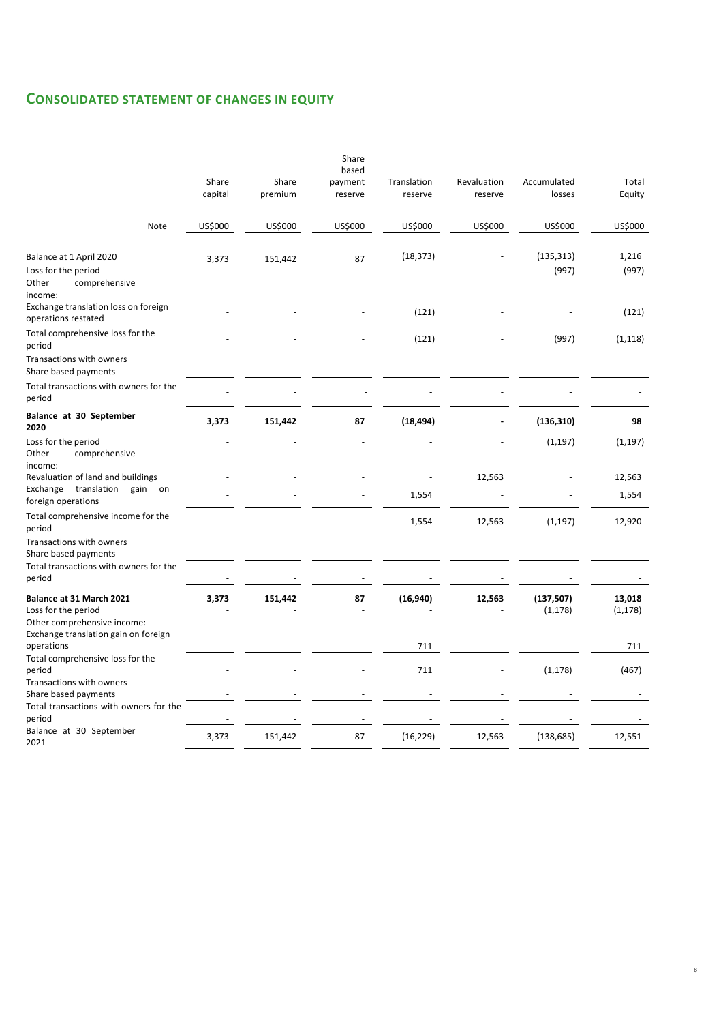# **CONSOLIDATED STATEMENT OF CHANGES IN EQUITY**

|                                                                                | Share<br>capital | Share<br>premium | Share<br>based<br>payment<br>reserve | Translation<br>reserve | Revaluation<br>reserve | Accumulated<br>losses  | Total<br>Equity    |
|--------------------------------------------------------------------------------|------------------|------------------|--------------------------------------|------------------------|------------------------|------------------------|--------------------|
| Note                                                                           | US\$000          | US\$000          | US\$000                              | US\$000                | US\$000                | US\$000                | US\$000            |
| Balance at 1 April 2020                                                        | 3,373            | 151,442          | 87                                   | (18, 373)              |                        | (135, 313)             | 1,216              |
| Loss for the period<br>Other<br>comprehensive<br>income:                       |                  |                  |                                      |                        |                        | (997)                  | (997)              |
| Exchange translation loss on foreign<br>operations restated                    |                  |                  |                                      | (121)                  |                        |                        | (121)              |
| Total comprehensive loss for the<br>period                                     |                  |                  |                                      | (121)                  |                        | (997)                  | (1, 118)           |
| Transactions with owners<br>Share based payments                               |                  |                  |                                      |                        |                        |                        |                    |
| Total transactions with owners for the<br>period                               |                  |                  |                                      |                        |                        |                        |                    |
| Balance at 30 September<br>2020                                                | 3,373            | 151,442          | 87                                   | (18, 494)              |                        | (136, 310)             | 98                 |
| Loss for the period<br>Other<br>comprehensive<br>income:                       |                  |                  |                                      |                        |                        | (1, 197)               | (1, 197)           |
| Revaluation of land and buildings<br>Exchange<br>translation<br>gain<br>on     |                  |                  |                                      |                        | 12,563                 |                        | 12,563             |
| foreign operations                                                             |                  |                  |                                      | 1,554                  |                        |                        | 1,554              |
| Total comprehensive income for the<br>period                                   |                  |                  |                                      | 1,554                  | 12,563                 | (1, 197)               | 12,920             |
| Transactions with owners<br>Share based payments                               |                  |                  |                                      |                        |                        |                        |                    |
| Total transactions with owners for the<br>period                               |                  |                  |                                      |                        |                        |                        |                    |
| Balance at 31 March 2021<br>Loss for the period<br>Other comprehensive income: | 3,373            | 151,442          | 87                                   | (16, 940)              | 12,563                 | (137, 507)<br>(1, 178) | 13,018<br>(1, 178) |
| Exchange translation gain on foreign<br>operations                             |                  |                  |                                      | 711                    |                        |                        | 711                |
| Total comprehensive loss for the<br>period                                     |                  |                  |                                      | 711                    |                        | (1, 178)               | (467)              |
| Transactions with owners<br>Share based payments                               |                  |                  |                                      |                        |                        |                        |                    |
| Total transactions with owners for the<br>period                               |                  |                  |                                      |                        |                        |                        |                    |
| Balance at 30 September<br>2021                                                | 3,373            | 151,442          | 87                                   | (16, 229)              | 12,563                 | (138, 685)             | 12,551             |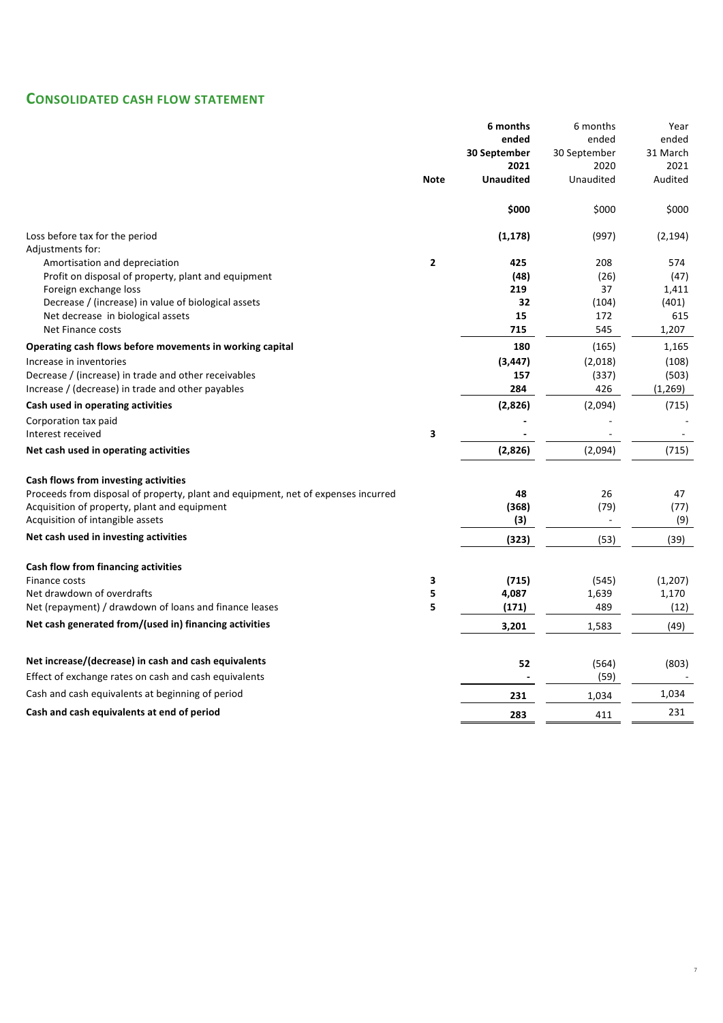# **CONSOLIDATED CASH FLOW STATEMENT**

|                                                                                   |                | 6 months         | 6 months     | Year     |
|-----------------------------------------------------------------------------------|----------------|------------------|--------------|----------|
|                                                                                   |                | ended            | ended        | ended    |
|                                                                                   |                | 30 September     | 30 September | 31 March |
|                                                                                   |                | 2021             | 2020         | 2021     |
|                                                                                   | <b>Note</b>    | <b>Unaudited</b> | Unaudited    | Audited  |
|                                                                                   |                | \$000            | \$000        | \$000    |
| Loss before tax for the period                                                    |                | (1, 178)         | (997)        | (2, 194) |
| Adjustments for:                                                                  |                |                  |              |          |
| Amortisation and depreciation                                                     | $\overline{2}$ | 425              | 208          | 574      |
| Profit on disposal of property, plant and equipment                               |                | (48)             | (26)         | (47)     |
| Foreign exchange loss                                                             |                | 219              | 37           | 1,411    |
| Decrease / (increase) in value of biological assets                               |                | 32               | (104)        | (401)    |
| Net decrease in biological assets                                                 |                | 15               | 172          | 615      |
| Net Finance costs                                                                 |                | 715              | 545          | 1,207    |
| Operating cash flows before movements in working capital                          |                | 180              | (165)        | 1,165    |
| Increase in inventories                                                           |                | (3, 447)         | (2,018)      | (108)    |
| Decrease / (increase) in trade and other receivables                              |                | 157              | (337)        | (503)    |
| Increase / (decrease) in trade and other payables                                 |                | 284              | 426          | (1,269)  |
| Cash used in operating activities                                                 |                | (2,826)          | (2,094)      | (715)    |
| Corporation tax paid                                                              |                |                  |              |          |
| Interest received                                                                 | 3              |                  |              |          |
| Net cash used in operating activities                                             |                | (2,826)          | (2,094)      | (715)    |
| Cash flows from investing activities                                              |                |                  |              |          |
| Proceeds from disposal of property, plant and equipment, net of expenses incurred |                | 48               | 26           | 47       |
| Acquisition of property, plant and equipment                                      |                | (368)            | (79)         | (77)     |
| Acquisition of intangible assets                                                  |                | (3)              |              | (9)      |
| Net cash used in investing activities                                             |                | (323)            | (53)         | (39)     |
| Cash flow from financing activities                                               |                |                  |              |          |
| Finance costs                                                                     | 3              | (715)            | (545)        | (1, 207) |
| Net drawdown of overdrafts                                                        | 5              | 4,087            | 1,639        | 1,170    |
| Net (repayment) / drawdown of loans and finance leases                            | 5              | (171)            | 489          | (12)     |
| Net cash generated from/(used in) financing activities                            |                | 3,201            | 1,583        | (49)     |
|                                                                                   |                |                  |              |          |
| Net increase/(decrease) in cash and cash equivalents                              |                | 52               | (564)        | (803)    |
| Effect of exchange rates on cash and cash equivalents                             |                |                  | (59)         |          |
| Cash and cash equivalents at beginning of period                                  |                | 231              | 1,034        | 1,034    |
| Cash and cash equivalents at end of period                                        |                | 283              | 411          | 231      |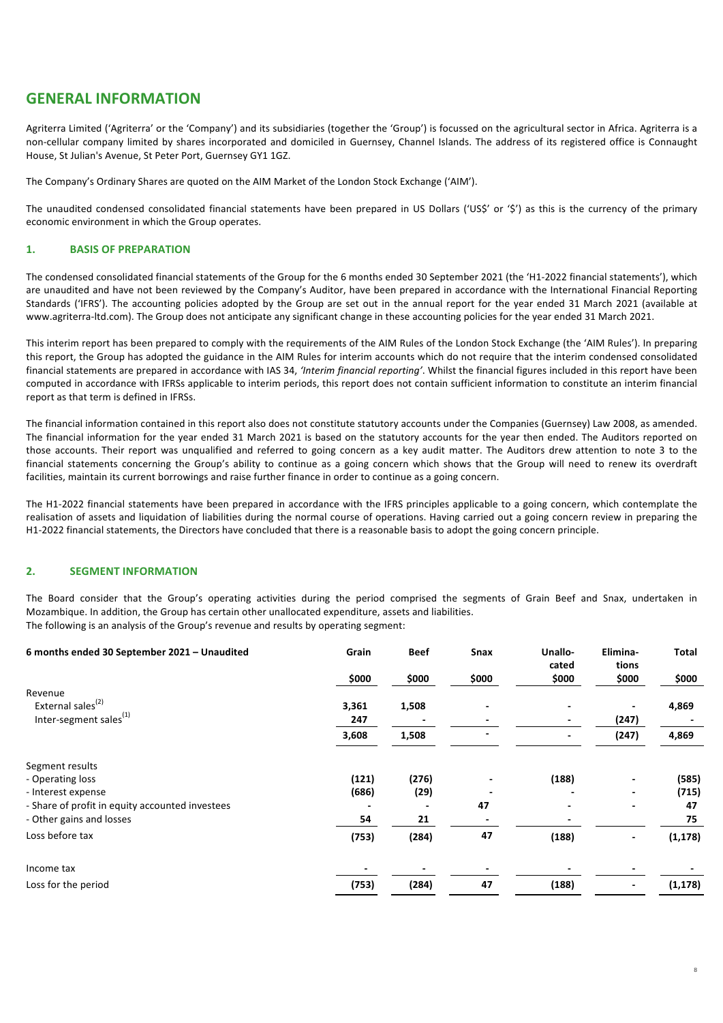# **GENERAL INFORMATION**

Agriterra Limited ('Agriterra' or the 'Company') and its subsidiaries (together the 'Group') is focussed on the agricultural sector in Africa. Agriterra is a non-cellular company limited by shares incorporated and domiciled in Guernsey, Channel Islands. The address of its registered office is Connaught House, St Julian's Avenue, St Peter Port, Guernsey GY1 1GZ.

The Company's Ordinary Shares are quoted on the AIM Market of the London Stock Exchange ('AIM').

The unaudited condensed consolidated financial statements have been prepared in US Dollars ('US\$' or '\$') as this is the currency of the primary economic environment in which the Group operates.

## 1. **BASIS OF PREPARATION**

The condensed consolidated financial statements of the Group for the 6 months ended 30 September 2021 (the 'H1-2022 financial statements'), which are unaudited and have not been reviewed by the Company's Auditor, have been prepared in accordance with the International Financial Reporting Standards ('IFRS'). The accounting policies adopted by the Group are set out in the annual report for the year ended 31 March 2021 (available at www.agriterra-ltd.com). The Group does not anticipate any significant change in these accounting policies for the year ended 31 March 2021.

This interim report has been prepared to comply with the requirements of the AIM Rules of the London Stock Exchange (the 'AIM Rules'). In preparing this report, the Group has adopted the guidance in the AIM Rules for interim accounts which do not require that the interim condensed consolidated financial statements are prepared in accordance with IAS 34, 'Interim financial reporting'. Whilst the financial figures included in this report have been computed in accordance with IFRSs applicable to interim periods, this report does not contain sufficient information to constitute an interim financial report as that term is defined in IFRSs.

The financial information contained in this report also does not constitute statutory accounts under the Companies (Guernsey) Law 2008, as amended. The financial information for the year ended 31 March 2021 is based on the statutory accounts for the year then ended. The Auditors reported on those accounts. Their report was unqualified and referred to going concern as a key audit matter. The Auditors drew attention to note 3 to the financial statements concerning the Group's ability to continue as a going concern which shows that the Group will need to renew its overdraft facilities, maintain its current borrowings and raise further finance in order to continue as a going concern.

The H1-2022 financial statements have been prepared in accordance with the IFRS principles applicable to a going concern, which contemplate the realisation of assets and liquidation of liabilities during the normal course of operations. Having carried out a going concern review in preparing the H1-2022 financial statements, the Directors have concluded that there is a reasonable basis to adopt the going concern principle.

## **2. SEGMENT INFORMATION**

The Board consider that the Group's operating activities during the period comprised the segments of Grain Beef and Snax, undertaken in Mozambique. In addition, the Group has certain other unallocated expenditure, assets and liabilities. The following is an analysis of the Group's revenue and results by operating segment:

| 6 months ended 30 September 2021 - Unaudited    | Grain | <b>Beef</b> | Snax  | Unallo-<br>cated | Elimina-<br>tions | Total    |
|-------------------------------------------------|-------|-------------|-------|------------------|-------------------|----------|
|                                                 | \$000 | \$000       | \$000 | \$000            | \$000             | \$000    |
| Revenue                                         |       |             |       |                  |                   |          |
| External sales <sup>(2)</sup>                   | 3,361 | 1,508       | -     |                  |                   | 4,869    |
| Inter-segment sales <sup>(1)</sup>              | 247   |             |       |                  | (247)             |          |
|                                                 | 3,608 | 1,508       |       |                  | (247)             | 4,869    |
| Segment results                                 |       |             |       |                  |                   |          |
| - Operating loss                                | (121) | (276)       |       | (188)            |                   | (585)    |
| - Interest expense                              | (686) | (29)        |       |                  |                   | (715)    |
| - Share of profit in equity accounted investees |       |             | 47    |                  |                   | 47       |
| - Other gains and losses                        | 54    | 21          |       |                  |                   | 75       |
| Loss before tax                                 | (753) | (284)       | 47    | (188)            |                   | (1, 178) |
| Income tax                                      |       |             |       |                  |                   |          |
| Loss for the period                             | (753) | (284)       | 47    | (188)            |                   | (1, 178) |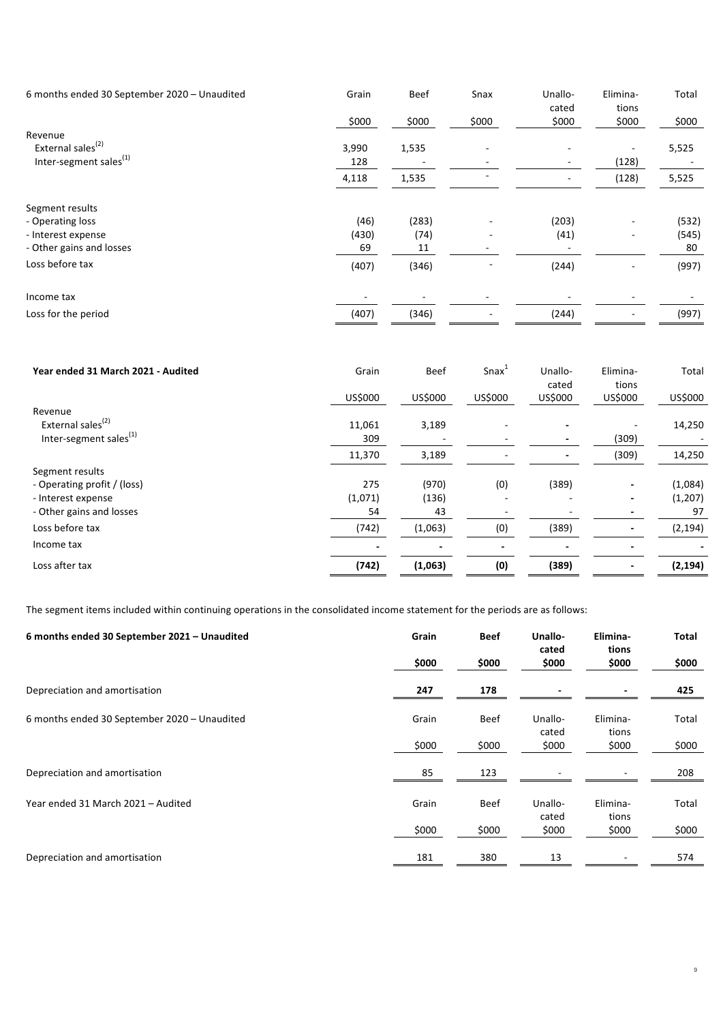| 6 months ended 30 September 2020 - Unaudited | Grain | <b>Beef</b> | Snax  | Unallo-<br>cated | Elimina-<br>tions | Total |
|----------------------------------------------|-------|-------------|-------|------------------|-------------------|-------|
|                                              | \$000 | \$000       | \$000 | \$000            | \$000             | \$000 |
| Revenue                                      |       |             |       |                  |                   |       |
| External sales <sup>(2)</sup>                | 3,990 | 1,535       |       |                  |                   | 5,525 |
| Inter-segment sales <sup>(1)</sup>           | 128   |             |       |                  | (128)             |       |
|                                              | 4,118 | 1,535       |       | ۰.               | (128)             | 5,525 |
| Segment results                              |       |             |       |                  |                   |       |
| - Operating loss                             | (46)  | (283)       |       | (203)            |                   | (532) |
| - Interest expense                           | (430) | (74)        |       | (41)             |                   | (545) |
| - Other gains and losses                     | 69    | 11          |       |                  |                   | 80    |
| Loss before tax                              | (407) | (346)       |       | (244)            | ٠                 | (997) |
| Income tax                                   |       |             |       |                  |                   |       |
| Loss for the period                          | (407) | (346)       |       | (244)            |                   | (997) |

| Year ended 31 March 2021 - Audited | Grain   | <b>Beef</b> | $S$ nax $1$ | Unallo-<br>cated | Elimina-<br>tions        | Total    |
|------------------------------------|---------|-------------|-------------|------------------|--------------------------|----------|
|                                    | US\$000 | US\$000     | US\$000     | US\$000          | US\$000                  | US\$000  |
| Revenue                            |         |             |             |                  |                          |          |
| External sales <sup>(2)</sup>      | 11,061  | 3,189       |             |                  |                          | 14,250   |
| Inter-segment sales <sup>(1)</sup> | 309     |             |             |                  | (309)                    |          |
|                                    | 11,370  | 3,189       |             |                  | (309)                    | 14,250   |
| Segment results                    |         |             |             |                  |                          |          |
| - Operating profit / (loss)        | 275     | (970)       | (0)         | (389)            | ۰                        | (1,084)  |
| - Interest expense                 | (1,071) | (136)       |             |                  | $\overline{\phantom{a}}$ | (1,207)  |
| - Other gains and losses           | 54      | 43          |             |                  |                          | 97       |
| Loss before tax                    | (742)   | (1,063)     | (0)         | (389)            | ٠                        | (2, 194) |
| Income tax                         |         |             |             |                  |                          |          |
| Loss after tax                     | (742)   | (1,063)     | (0)         | (389)            | $\blacksquare$           | (2, 194) |

The segment items included within continuing operations in the consolidated income statement for the periods are as follows:

| 6 months ended 30 September 2021 - Unaudited | Grain | <b>Beef</b> | Unallo-<br>cated | Elimina-<br>tions | Total |
|----------------------------------------------|-------|-------------|------------------|-------------------|-------|
|                                              | \$000 | \$000       | \$000            | \$000             | \$000 |
| Depreciation and amortisation                | 247   | 178         |                  |                   | 425   |
| 6 months ended 30 September 2020 - Unaudited | Grain | Beef        | Unallo-<br>cated | Elimina-<br>tions | Total |
|                                              | \$000 | \$000       | \$000            | \$000             | \$000 |
| Depreciation and amortisation                | 85    | 123         |                  |                   | 208   |
| Year ended 31 March 2021 - Audited           | Grain | Beef        | Unallo-<br>cated | Elimina-<br>tions | Total |
|                                              | \$000 | \$000       | \$000            | \$000             | \$000 |
| Depreciation and amortisation                | 181   | 380         | 13               |                   | 574   |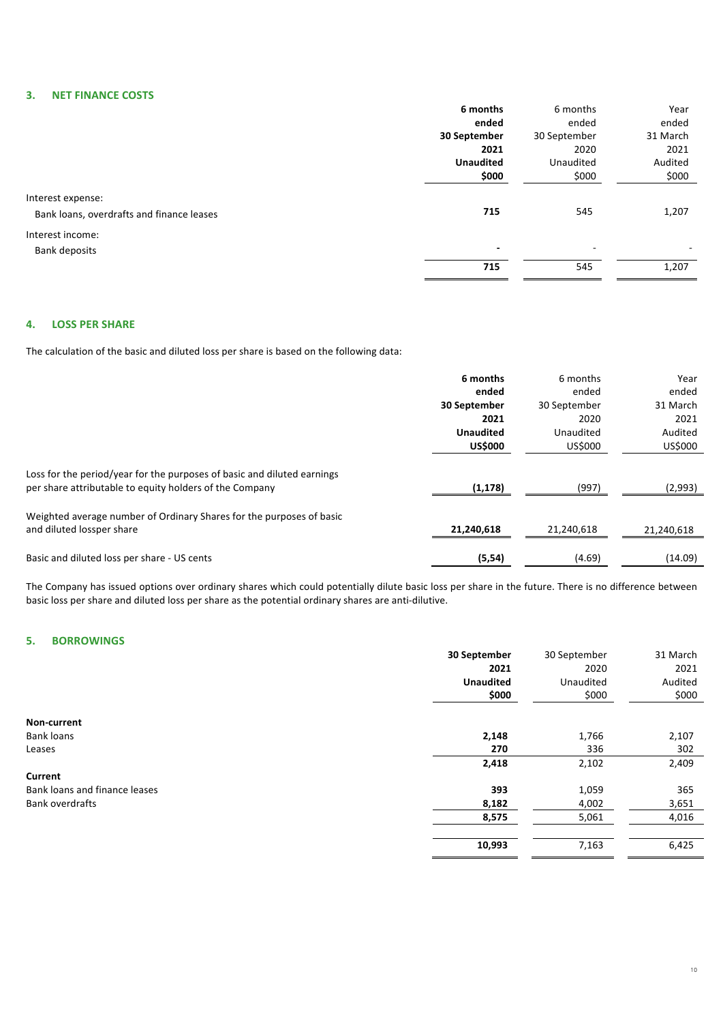# **3. NET FINANCE COSTS**

|                                           | 6 months                 | 6 months                 | Year     |
|-------------------------------------------|--------------------------|--------------------------|----------|
|                                           | ended                    | ended                    | ended    |
|                                           | 30 September             | 30 September             | 31 March |
|                                           | 2021                     | 2020                     | 2021     |
|                                           | <b>Unaudited</b>         | Unaudited                | Audited  |
|                                           | \$000                    | \$000                    | \$000    |
| Interest expense:                         |                          |                          |          |
| Bank loans, overdrafts and finance leases | 715                      | 545                      | 1,207    |
| Interest income:                          |                          |                          |          |
| <b>Bank deposits</b>                      | $\overline{\phantom{0}}$ | $\overline{\phantom{a}}$ | ۰        |
|                                           | 715                      | 545                      | 1,207    |
|                                           |                          |                          |          |

# **4. LOSS PER SHARE**

The calculation of the basic and diluted loss per share is based on the following data:

|                                                                                                                                    | 6 months         | 6 months     | Year       |
|------------------------------------------------------------------------------------------------------------------------------------|------------------|--------------|------------|
|                                                                                                                                    | ended            | ended        | ended      |
|                                                                                                                                    | 30 September     | 30 September | 31 March   |
|                                                                                                                                    | 2021             | 2020         | 2021       |
|                                                                                                                                    | <b>Unaudited</b> | Unaudited    | Audited    |
|                                                                                                                                    | <b>US\$000</b>   | US\$000      | US\$000    |
| Loss for the period/year for the purposes of basic and diluted earnings<br>per share attributable to equity holders of the Company | (1, 178)         | (997)        | (2,993)    |
| Weighted average number of Ordinary Shares for the purposes of basic<br>and diluted lossper share                                  | 21,240,618       | 21,240,618   | 21,240,618 |
| Basic and diluted loss per share - US cents                                                                                        | (5, 54)          | (4.69)       | (14.09)    |

The Company has issued options over ordinary shares which could potentially dilute basic loss per share in the future. There is no difference between basic loss per share and diluted loss per share as the potential ordinary shares are anti-dilutive.

# **5. BORROWINGS**

|                               | 30 September     | 30 September | 31 March |
|-------------------------------|------------------|--------------|----------|
|                               | 2021             | 2020         | 2021     |
|                               | <b>Unaudited</b> | Unaudited    | Audited  |
|                               | \$000            | \$000        | \$000    |
| Non-current                   |                  |              |          |
| <b>Bank loans</b>             | 2,148            | 1,766        | 2,107    |
| Leases                        | 270              | 336          | 302      |
|                               | 2,418            | 2,102        | 2,409    |
| Current                       |                  |              |          |
| Bank loans and finance leases | 393              | 1,059        | 365      |
| <b>Bank overdrafts</b>        | 8,182            | 4,002        | 3,651    |
|                               | 8,575            | 5,061        | 4,016    |
|                               |                  |              |          |
|                               | 10,993           | 7,163        | 6,425    |